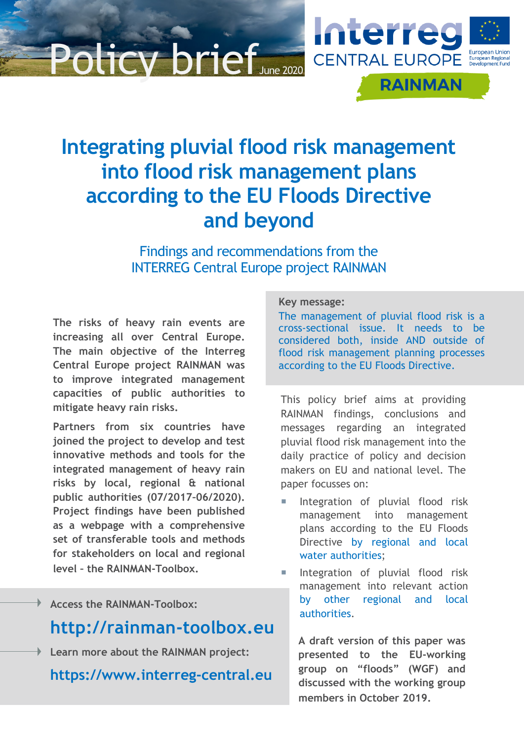# Policy brie



Findings and recommendations from the INTERREG Central Europe project RAINMAN

**The risks of heavy rain events are increasing all over Central Europe. The main objective of the Interreg Central Europe project RAINMAN was to improve integrated management capacities of public authorities to mitigate heavy rain risks.** 

**Partners from six countries have joined the project to develop and test innovative methods and tools for the integrated management of heavy rain risks by local, regional & national public authorities (07/2017–06/2020). Project findings have been published as a webpage with a comprehensive set of transferable tools and methods for stakeholders on local and regional level – the RAINMAN-Toolbox.**

# **Access the RAINMAN-Toolbox:**

# **[http://rainman-toolbox.eu](http://rainman-toolbox.eu/)**

**Learn more about the RAINMAN project:** 

**[https://www.interreg-central.eu](https://www.interreg-central.eu/)**

#### **Key message:**

The management of pluvial flood risk is a cross-sectional issue. It needs to be considered both, inside AND outside of flood risk management planning processes according to the EU Floods Directive.

**Interres** 

**CENTRAL EUROPE** 

**RAINMAN** 

This policy brief aims at providing RAINMAN findings, conclusions and messages regarding an integrated pluvial flood risk management into the daily practice of policy and decision makers on EU and national level. The paper focusses on:

- Integration of pluvial flood risk management into management plans according to the EU Floods Directive by regional and local water authorities;
- Integration of pluvial flood risk management into relevant action by other regional and local authorities.

**A draft version of this paper was presented to the EU-working group on "floods" (WGF) and discussed with the working group members in October 2019.**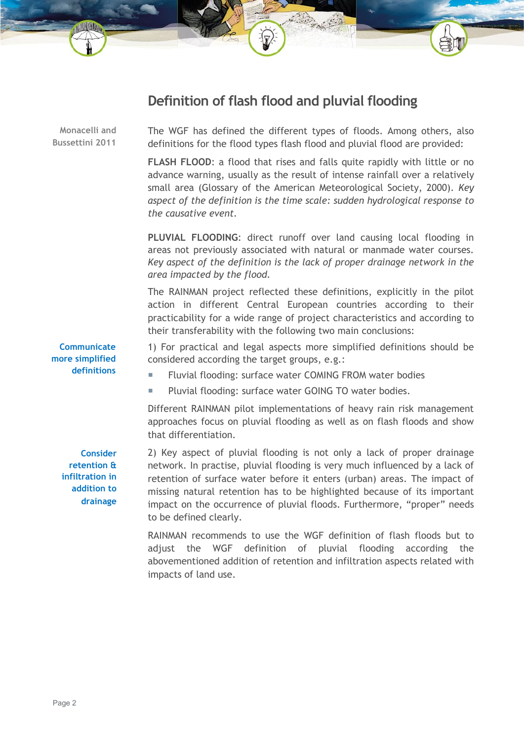# **Definition of flash flood and pluvial flooding**

The WGF has defined the different types of floods. Among others, also definitions for the flood types flash flood and pluvial flood are provided: **FLASH FLOOD**: a flood that rises and falls quite rapidly with little or no advance warning, usually as the result of intense rainfall over a relatively small area (Glossary of the American Meteorological Society, 2000). *Key aspect of the definition is the time scale: sudden hydrological response to the causative event.* **PLUVIAL FLOODING**: direct runoff over land causing local flooding in areas not previously associated with natural or manmade water courses. *Key aspect of the definition is the lack of proper drainage network in the area impacted by the flood.* The RAINMAN project reflected these definitions, explicitly in the pilot action in different Central European countries according to their practicability for a wide range of project characteristics and according to their transferability with the following two main conclusions: 1) For practical and legal aspects more simplified definitions should be considered according the target groups, e.g.: Fluvial flooding: surface water COMING FROM water bodies **Pluvial flooding: surface water GOING TO water bodies.** Different RAINMAN pilot implementations of heavy rain risk management approaches focus on pluvial flooding as well as on flash floods and show that differentiation. 2) Key aspect of pluvial flooding is not only a lack of proper drainage network. In practise, pluvial flooding is very much influenced by a lack of retention of surface water before it enters (urban) areas. The impact of **Communicate more simplified definitions Consider retention & infiltration in addition to Monacelli and Bussettini 2011**

missing natural retention has to be highlighted because of its important impact on the occurrence of pluvial floods. Furthermore, "proper" needs to be defined clearly. RAINMAN recommends to use the WGF definition of flash floods but to

adjust the WGF definition of pluvial flooding according the abovementioned addition of retention and infiltration aspects related with impacts of land use.

**drainage**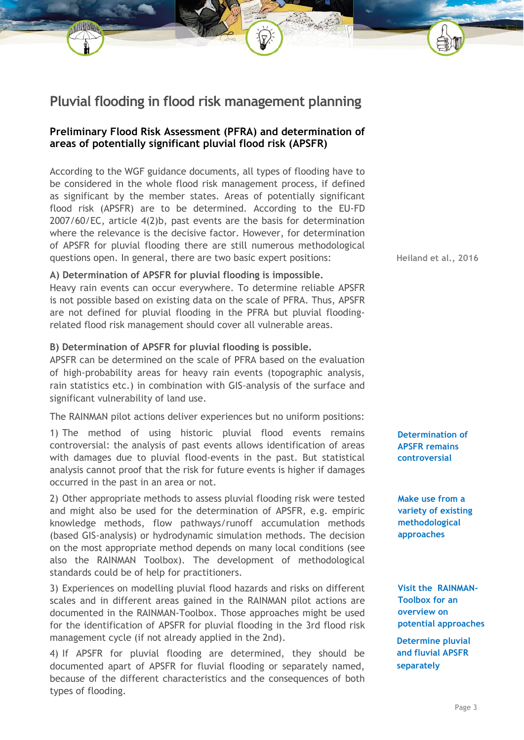# **Pluvial flooding in flood risk management planning**

# **Preliminary Flood Risk Assessment (PFRA) and determination of areas of potentially significant pluvial flood risk (APSFR)**

According to the WGF guidance documents, all types of flooding have to be considered in the whole flood risk management process, if defined as significant by the member states. Areas of potentially significant flood risk (APSFR) are to be determined. According to the EU-FD 2007/60/EC, article 4(2)b, past events are the basis for determination where the relevance is the decisive factor. However, for determination of APSFR for pluvial flooding there are still numerous methodological questions open. In general, there are two basic expert positions:

#### **A) Determination of APSFR for pluvial flooding is impossible.**

Heavy rain events can occur everywhere. To determine reliable APSFR is not possible based on existing data on the scale of PFRA. Thus, APSFR are not defined for pluvial flooding in the PFRA but pluvial floodingrelated flood risk management should cover all vulnerable areas.

#### **B) Determination of APSFR for pluvial flooding is possible.**

APSFR can be determined on the scale of PFRA based on the evaluation of high-probability areas for heavy rain events (topographic analysis, rain statistics etc.) in combination with GIS-analysis of the surface and significant vulnerability of land use.

The RAINMAN pilot actions deliver experiences but no uniform positions:

1) The method of using historic pluvial flood events remains controversial: the analysis of past events allows identification of areas with damages due to pluvial flood-events in the past. But statistical analysis cannot proof that the risk for future events is higher if damages occurred in the past in an area or not.

2) Other appropriate methods to assess pluvial flooding risk were tested and might also be used for the determination of APSFR, e.g. empiric knowledge methods, flow pathways/runoff accumulation methods (based GIS-analysis) or hydrodynamic simulation methods. The decision on the most appropriate method depends on many local conditions (see also the RAINMAN Toolbox). The development of methodological standards could be of help for practitioners.

3) Experiences on modelling pluvial flood hazards and risks on different scales and in different areas gained in the RAINMAN pilot actions are documented in the RAINMAN-Toolbox. Those approaches might be used for the identification of APSFR for pluvial flooding in the 3rd flood risk management cycle (if not already applied in the 2nd).

4) If APSFR for pluvial flooding are determined, they should be documented apart of APSFR for fluvial flooding or separately named, because of the different characteristics and the consequences of both types of flooding.

**Heiland et al., 2016**

**Determination of APSFR remains controversial**

**Make use from a variety of existing methodological approaches**

**Visit the RAINMAN-Toolbox for an overview on potential approaches**

**Determine pluvial and fluvial APSFR separately**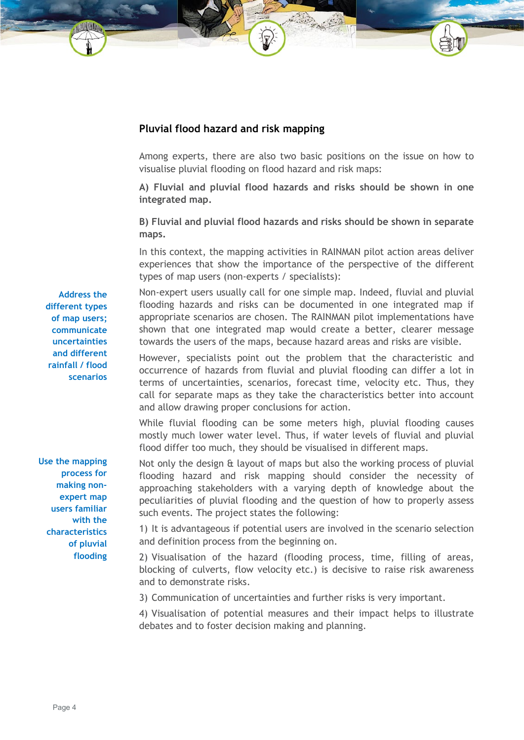## **Pluvial flood hazard and risk mapping**

Among experts, there are also two basic positions on the issue on how to visualise pluvial flooding on flood hazard and risk maps:

**A) Fluvial and pluvial flood hazards and risks should be shown in one integrated map.**

**B) Fluvial and pluvial flood hazards and risks should be shown in separate maps.**

In this context, the mapping activities in RAINMAN pilot action areas deliver experiences that show the importance of the perspective of the different types of map users (non-experts / specialists):

Non-expert users usually call for one simple map. Indeed, fluvial and pluvial flooding hazards and risks can be documented in one integrated map if appropriate scenarios are chosen. The RAINMAN pilot implementations have shown that one integrated map would create a better, clearer message towards the users of the maps, because hazard areas and risks are visible.

However, specialists point out the problem that the characteristic and occurrence of hazards from fluvial and pluvial flooding can differ a lot in terms of uncertainties, scenarios, forecast time, velocity etc. Thus, they call for separate maps as they take the characteristics better into account and allow drawing proper conclusions for action.

While fluvial flooding can be some meters high, pluvial flooding causes mostly much lower water level. Thus, if water levels of fluvial and pluvial flood differ too much, they should be visualised in different maps.

Not only the design & layout of maps but also the working process of pluvial flooding hazard and risk mapping should consider the necessity of approaching stakeholders with a varying depth of knowledge about the peculiarities of pluvial flooding and the question of how to properly assess such events. The project states the following:

1) It is advantageous if potential users are involved in the scenario selection and definition process from the beginning on.

2) Visualisation of the hazard (flooding process, time, filling of areas, blocking of culverts, flow velocity etc.) is decisive to raise risk awareness and to demonstrate risks.

3) Communication of uncertainties and further risks is very important.

4) Visualisation of potential measures and their impact helps to illustrate debates and to foster decision making and planning.

**Address the different types of map users; communicate uncertainties and different rainfall / flood scenarios**

**Use the mapping process for making nonexpert map users familiar with the characteristics of pluvial flooding**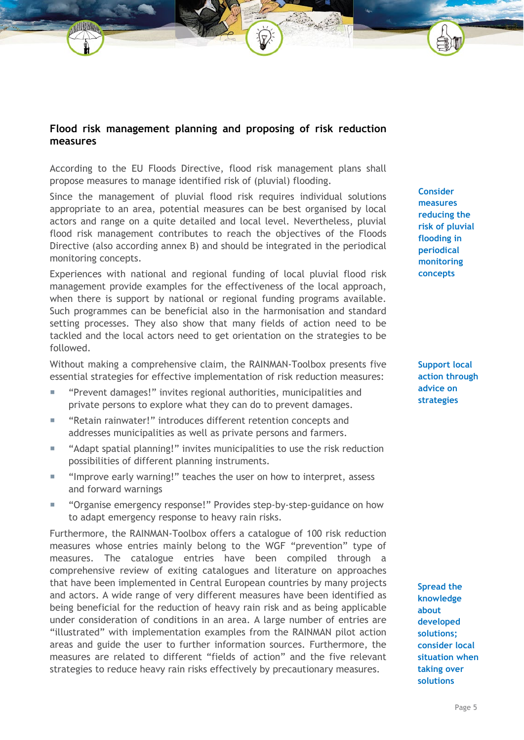# **Flood risk management planning and proposing of risk reduction measures**

According to the EU Floods Directive, flood risk management plans shall propose measures to manage identified risk of (pluvial) flooding.

Since the management of pluvial flood risk requires individual solutions appropriate to an area, potential measures can be best organised by local actors and range on a quite detailed and local level. Nevertheless, pluvial flood risk management contributes to reach the objectives of the Floods Directive (also according annex B) and should be integrated in the periodical monitoring concepts.

Experiences with national and regional funding of local pluvial flood risk management provide examples for the effectiveness of the local approach, when there is support by national or regional funding programs available. Such programmes can be beneficial also in the harmonisation and standard setting processes. They also show that many fields of action need to be tackled and the local actors need to get orientation on the strategies to be followed.

Without making a comprehensive claim, the RAINMAN-Toolbox presents five essential strategies for effective implementation of risk reduction measures:

- "Prevent damages!" invites regional authorities, municipalities and private persons to explore what they can do to prevent damages.
- "Retain rainwater!" introduces different retention concepts and addresses municipalities as well as private persons and farmers.
- "Adapt spatial planning!" invites municipalities to use the risk reduction possibilities of different planning instruments.
- "Improve early warning!" teaches the user on how to interpret, assess and forward warnings
- "Organise emergency response!" Provides step-by-step-guidance on how to adapt emergency response to heavy rain risks.

Furthermore, the RAINMAN-Toolbox offers a catalogue of 100 risk reduction measures whose entries mainly belong to the WGF "prevention" type of measures. The catalogue entries have been compiled through a comprehensive review of exiting catalogues and literature on approaches that have been implemented in Central European countries by many projects and actors. A wide range of very different measures have been identified as being beneficial for the reduction of heavy rain risk and as being applicable under consideration of conditions in an area. A large number of entries are "illustrated" with implementation examples from the RAINMAN pilot action areas and guide the user to further information sources. Furthermore, the measures are related to different "fields of action" and the five relevant strategies to reduce heavy rain risks effectively by precautionary measures.

**Consider measures reducing the risk of pluvial flooding in periodical monitoring concepts**

**Support local action through advice on strategies**

**Spread the knowledge about developed solutions; consider local situation when taking over solutions**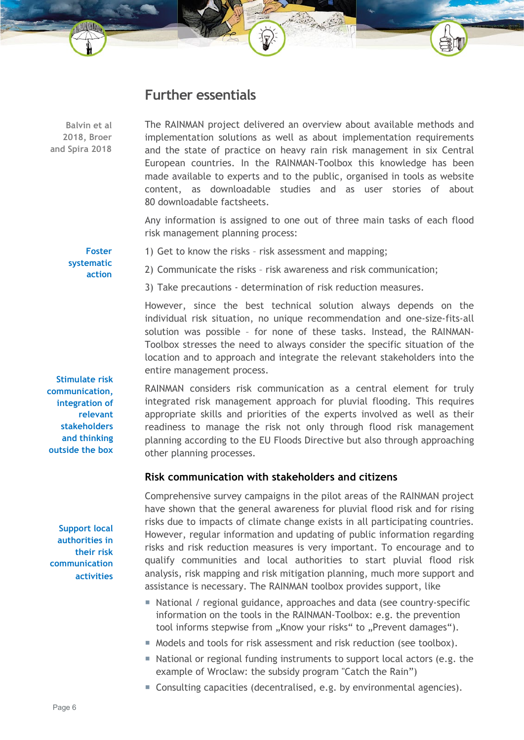# **Further essentials**

**Balvin et al 2018, Broer and Spira 2018**

The RAINMAN project delivered an overview about available methods and implementation solutions as well as about implementation requirements and the state of practice on heavy rain risk management in six Central European countries. In the RAINMAN-Toolbox this knowledge has been made available to experts and to the public, organised in tools as website content, as downloadable studies and as user stories of about 80 downloadable factsheets.

Any information is assigned to one out of three main tasks of each flood risk management planning process:

**Foster systematic action** 1) Get to know the risks – risk assessment and mapping;

2) Communicate the risks – risk awareness and risk communication;

3) Take precautions - determination of risk reduction measures.

However, since the best technical solution always depends on the individual risk situation, no unique recommendation and one-size-fits-all solution was possible – for none of these tasks. Instead, the RAINMAN-Toolbox stresses the need to always consider the specific situation of the location and to approach and integrate the relevant stakeholders into the entire management process.

RAINMAN considers risk communication as a central element for truly integrated risk management approach for pluvial flooding. This requires appropriate skills and priorities of the experts involved as well as their readiness to manage the risk not only through flood risk management planning according to the EU Floods Directive but also through approaching other planning processes.

## **Risk communication with stakeholders and citizens**

Comprehensive survey campaigns in the pilot areas of the RAINMAN project have shown that the general awareness for pluvial flood risk and for rising risks due to impacts of climate change exists in all participating countries. However, regular information and updating of public information regarding risks and risk reduction measures is very important. To encourage and to qualify communities and local authorities to start pluvial flood risk analysis, risk mapping and risk mitigation planning, much more support and assistance is necessary. The RAINMAN toolbox provides support, like

- National / regional guidance, approaches and data (see country-specific information on the tools in the RAINMAN-Toolbox: e.g. the prevention tool informs stepwise from "Know your risks" to "Prevent damages").
- $\blacksquare$  Models and tools for risk assessment and risk reduction (see toolbox).
- National or regional funding instruments to support local actors (e.g. the example of Wroclaw: the subsidy program "Catch the Rain")
- Consulting capacities (decentralised, e.g. by environmental agencies).

**Stimulate risk communication, integration of relevant stakeholders and thinking outside the box**

**Support local authorities in their risk communication activities**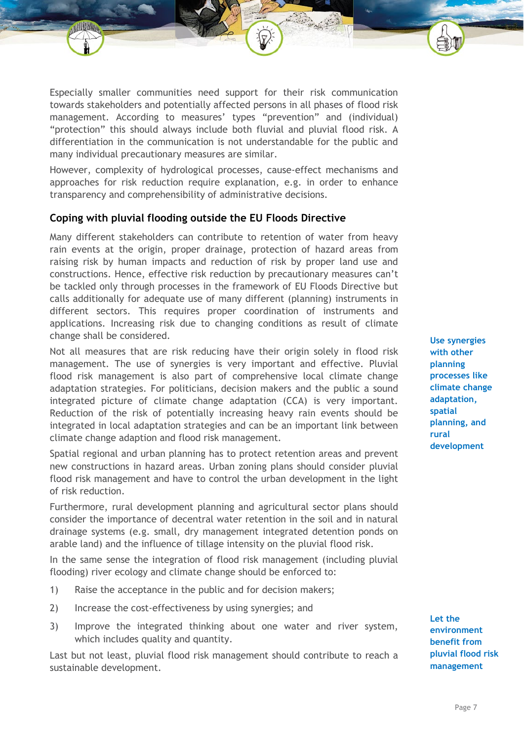Especially smaller communities need support for their risk communication towards stakeholders and potentially affected persons in all phases of flood risk management. According to measures' types "prevention" and (individual) "protection" this should always include both fluvial and pluvial flood risk. A differentiation in the communication is not understandable for the public and many individual precautionary measures are similar.

However, complexity of hydrological processes, cause-effect mechanisms and approaches for risk reduction require explanation, e.g. in order to enhance transparency and comprehensibility of administrative decisions.

## **Coping with pluvial flooding outside the EU Floods Directive**

Many different stakeholders can contribute to retention of water from heavy rain events at the origin, proper drainage, protection of hazard areas from raising risk by human impacts and reduction of risk by proper land use and constructions. Hence, effective risk reduction by precautionary measures can't be tackled only through processes in the framework of EU Floods Directive but calls additionally for adequate use of many different (planning) instruments in different sectors. This requires proper coordination of instruments and applications. Increasing risk due to changing conditions as result of climate change shall be considered.

Not all measures that are risk reducing have their origin solely in flood risk management. The use of synergies is very important and effective. Pluvial flood risk management is also part of comprehensive local climate change adaptation strategies. For politicians, decision makers and the public a sound integrated picture of climate change adaptation (CCA) is very important. Reduction of the risk of potentially increasing heavy rain events should be integrated in local adaptation strategies and can be an important link between climate change adaption and flood risk management.

Spatial regional and urban planning has to protect retention areas and prevent new constructions in hazard areas. Urban zoning plans should consider pluvial flood risk management and have to control the urban development in the light of risk reduction.

Furthermore, rural development planning and agricultural sector plans should consider the importance of decentral water retention in the soil and in natural drainage systems (e.g. small, dry management integrated detention ponds on arable land) and the influence of tillage intensity on the pluvial flood risk.

In the same sense the integration of flood risk management (including pluvial flooding) river ecology and climate change should be enforced to:

- 1) Raise the acceptance in the public and for decision makers;
- 2) Increase the cost-effectiveness by using synergies; and
- 3) Improve the integrated thinking about one water and river system, which includes quality and quantity.

Last but not least, pluvial flood risk management should contribute to reach a sustainable development.

**Use synergies with other planning processes like climate change adaptation, spatial planning, and rural development**

**Let the environment benefit from pluvial flood risk management**